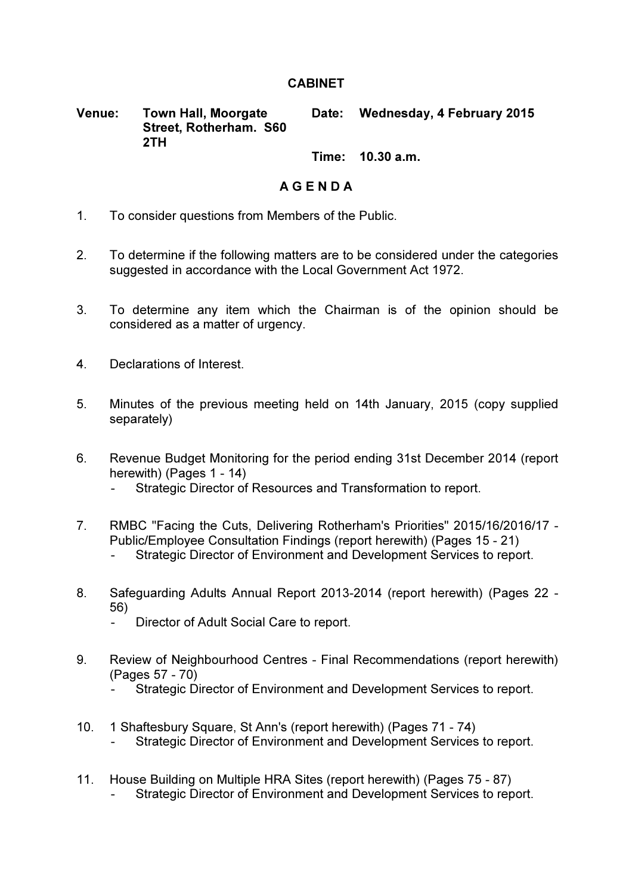## **CABINET**

Venue: Town Hall, Moorgate Street, Rotherham. S60 2TH Date: Wednesday, 4 February 2015

Time: 10.30 a.m.

## A G E N D A

- 1. To consider questions from Members of the Public.
- 2. To determine if the following matters are to be considered under the categories suggested in accordance with the Local Government Act 1972.
- 3. To determine any item which the Chairman is of the opinion should be considered as a matter of urgency.
- 4. Declarations of Interest.
- 5. Minutes of the previous meeting held on 14th January, 2015 (copy supplied separately)
- 6. Revenue Budget Monitoring for the period ending 31st December 2014 (report herewith) (Pages 1 - 14)
	- Strategic Director of Resources and Transformation to report.
- 7. RMBC "Facing the Cuts, Delivering Rotherham's Priorities" 2015/16/2016/17 Public/Employee Consultation Findings (report herewith) (Pages 15 - 21)
	- Strategic Director of Environment and Development Services to report.
- 8. Safeguarding Adults Annual Report 2013-2014 (report herewith) (Pages 22 56)
	- Director of Adult Social Care to report.
- 9. Review of Neighbourhood Centres Final Recommendations (report herewith) (Pages 57 - 70)
	- Strategic Director of Environment and Development Services to report.
- 10. 1 Shaftesbury Square, St Ann's (report herewith) (Pages 71 74) Strategic Director of Environment and Development Services to report.
- 11. House Building on Multiple HRA Sites (report herewith) (Pages 75 87) Strategic Director of Environment and Development Services to report.